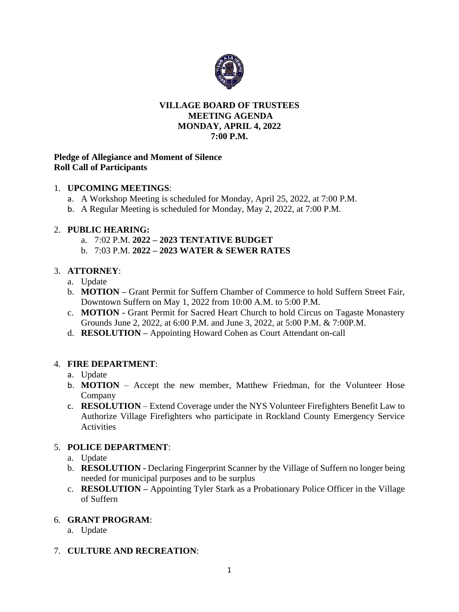

#### **VILLAGE BOARD OF TRUSTEES MEETING AGENDA MONDAY, APRIL 4, 2022 7:00 P.M.**

### **Pledge of Allegiance and Moment of Silence Roll Call of Participants**

#### 1. **UPCOMING MEETINGS**:

- a. A Workshop Meeting is scheduled for Monday, April 25, 2022, at 7:00 P.M.
- b. A Regular Meeting is scheduled for Monday, May 2, 2022, at 7:00 P.M.

#### 2. **PUBLIC HEARING:**

- a. 7:02 P.M. **2022 – 2023 TENTATIVE BUDGET**
- b. 7:03 P.M. **2022 – 2023 WATER & SEWER RATES**

## 3. **ATTORNEY**:

- a. Update
- b. **MOTION –** Grant Permit for Suffern Chamber of Commerce to hold Suffern Street Fair, Downtown Suffern on May 1, 2022 from 10:00 A.M. to 5:00 P.M.
- c. **MOTION -** Grant Permit for Sacred Heart Church to hold Circus on Tagaste Monastery Grounds June 2, 2022, at 6:00 P.M. and June 3, 2022, at 5:00 P.M. & 7:00P.M.
- d. **RESOLUTION –** Appointing Howard Cohen as Court Attendant on-call

## 4. **FIRE DEPARTMENT**:

## a. Update

- b. **MOTION** Accept the new member, Matthew Friedman, for the Volunteer Hose Company
- c. **RESOLUTION**  Extend Coverage under the NYS Volunteer Firefighters Benefit Law to Authorize Village Firefighters who participate in Rockland County Emergency Service **Activities**

## 5. **POLICE DEPARTMENT**:

- a. Update
- b. **RESOLUTION -** Declaring Fingerprint Scanner by the Village of Suffern no longer being needed for municipal purposes and to be surplus
- c. **RESOLUTION –** Appointing Tyler Stark as a Probationary Police Officer in the Village of Suffern

#### 6. **GRANT PROGRAM**:

a. Update

## 7. **CULTURE AND RECREATION**: